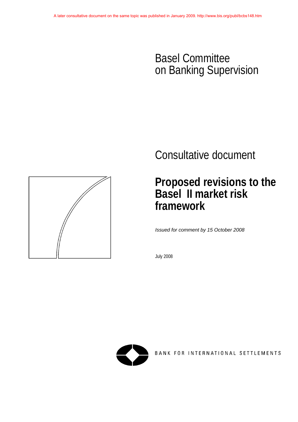# Basel Committee on Banking Supervision



# **Proposed revisions to the Basel II market risk framework**

*Issued for comment by 15 October 2008* 

July 2008



BANK FOR INTERNATIONAL SETTLEMENTS

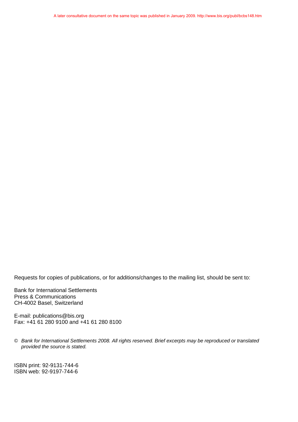A later consultative document on the same topic was published in January 2009. http://www.bis.org/publ/bcbs148.htm

Requests for copies of publications, or for additions/changes to the mailing list, should be sent to:

Bank for International Settlements Press & Communications CH-4002 Basel, Switzerland

E-mail: [publications@bis.org](mailto:publications@bis.org)  Fax: +41 61 280 9100 and +41 61 280 8100

© *Bank for International Settlements 2008. All rights reserved. Brief excerpts may be reproduced or translated provided the source is stated.* 

ISBN print: 92-9131-744-6 ISBN web: 92-9197-744-6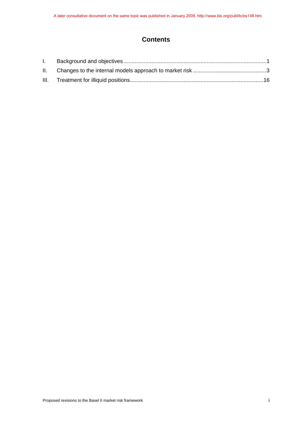# **Contents**

| $\mathbf{L}$ |  |
|--------------|--|
|              |  |
|              |  |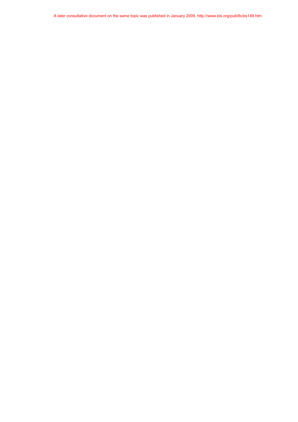A later consultative document on the same topic was published in January 2009. http://www.bis.org/publ/bcbs148.htm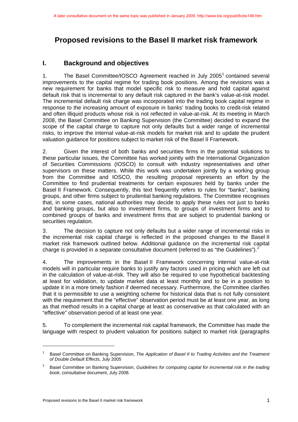# <span id="page-4-0"></span>**Proposed revisions to the Basel II market risk framework**

# **I. Background and objectives**

[1](#page-4-1). The Basel Committee/IOSCO Agreement reached in July 2005<sup>1</sup> contained several improvements to the capital regime for trading book positions. Among the revisions was a new requirement for banks that model specific risk to measure and hold capital against default risk that is incremental to any default risk captured in the bank's value-at-risk model. The incremental default risk charge was incorporated into the trading book capital regime in response to the increasing amount of exposure in banks' trading books to credit-risk related and often illiquid products whose risk is not reflected in value-at-risk. At its meeting in March 2008, the Basel Committee on Banking Supervision (the Committee) decided to expand the scope of the capital charge to capture not only defaults but a wider range of incremental risks, to improve the internal value-at-risk models for market risk and to update the prudent valuation guidance for positions subject to market risk of the Basel II Framework.

2. Given the interest of both banks and securities firms in the potential solutions to these particular issues, the Committee has worked jointly with the International Organization of Securities Commissions (IOSCO) to consult with industry representatives and other supervisors on these matters. While this work was undertaken jointly by a working group from the Committee and IOSCO, the resulting proposal represents an effort by the Committee to find prudential treatments for certain exposures held by banks under the Basel II Framework. Consequently, this text frequently refers to rules for "banks", banking groups, and other firms subject to prudential banking regulations. The Committee recognises that, in some cases, national authorities may decide to apply these rules not just to banks and banking groups, but also to investment firms, to groups of investment firms and to combined groups of banks and investment firms that are subject to prudential banking or securities regulation.

3. The decision to capture not only defaults but a wider range of incremental risks in the incremental risk capital charge is reflected in the proposed changes to the Basel II market risk framework outlined below. Additional guidance on the incremental risk capital charge is provided in a separate consultative document (referred to as "the Guidelines").<sup>[2](#page-4-2)</sup>

4. The improvements in the Basel II Framework concerning internal value-at-risk models will in particular require banks to justify any factors used in pricing which are left out in the calculation of value-at-risk. They will also be required to use hypothetical backtesting at least for validation, to update market data at least monthly and to be in a position to update it in a more timely fashion if deemed necessary. Furthermore, the Committee clarifies that it is permissible to use a weighting scheme for historical data that is not fully consistent with the requirement that the "effective" observation period must be at least one year, as long as that method results in a capital charge at least as conservative as that calculated with an "effective" observation period of at least one year.

5. To complement the incremental risk capital framework, the Committee has made the language with respect to prudent valuation for positions subject to market risk (paragraphs

<span id="page-4-1"></span><sup>1</sup> Basel Committee on Banking Supervision, *The Application of Basel II to Trading Activities and the Treatment of Double Default Effects*, July 2005

<span id="page-4-2"></span><sup>2</sup> Basel Committee on Banking Supervision, *Guidelines for computing capital for incremental risk in the trading book*, consultative document, July 2008.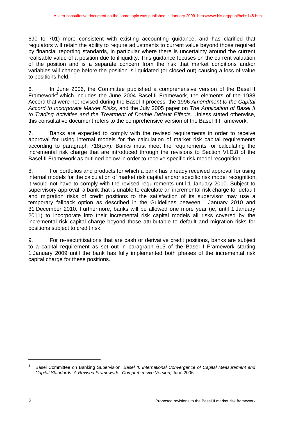690 to 701) more consistent with existing accounting guidance, and has clarified that regulators will retain the ability to require adjustments to current value beyond those required by financial reporting standards, in particular where there is uncertainty around the current realisable value of a position due to illiquidity. This guidance focuses on the current valuation of the position and is a separate concern from the risk that market conditions and/or variables will change before the position is liquidated (or closed out) causing a loss of value to positions held.

6. In June 2006, the Committee published a comprehensive version of the Basel II Framework<sup>[3](#page-5-0)</sup> which includes the June 2004 Basel II Framework, the elements of the 1988 Accord that were not revised during the Basel II process, the 1996 *Amendment to the Capital Accord to Incorporate Market Risks*, and the July 2005 paper on *The Application of Basel II to Trading Activities and the Treatment of Double Default Effects*. Unless stated otherwise, this consultative document refers to the comprehensive version of the Basel II Framework.

7. Banks are expected to comply with the revised requirements in order to receive approval for using internal models for the calculation of market risk capital requirements according to paragraph 718(LXX). Banks must meet the requirements for calculating the incremental risk charge that are introduced through the revisions to Section VI.D.8 of the Basel II Framework as outlined below in order to receive specific risk model recognition.

8. For portfolios and products for which a bank has already received approval for using internal models for the calculation of market risk capital and/or specific risk model recognition, it would not have to comply with the revised requirements until 1 January 2010. Subject to supervisory approval, a bank that is unable to calculate an incremental risk charge for default and migration risks of credit positions to the satisfaction of its supervisor may use a temporary fallback option as described in the Guidelines between 1 January 2010 and 31 December 2010. Furthermore, banks will be allowed one more year (ie, until 1 January 2011) to incorporate into their incremental risk capital models all risks covered by the incremental risk capital charge beyond those attributable to default and migration risks for positions subject to credit risk.

9. For re-securitisations that are cash or derivative credit positions, banks are subject to a capital requirement as set out in paragraph 615 of the Basel II Framework starting 1 January 2009 until the bank has fully implemented both phases of the incremental risk capital charge for these positions.

<span id="page-5-0"></span><sup>3</sup> Basel Committee on Banking Supervision, *Basel II: International Convergence of Capital Measurement and Capital Standards: A Revised Framework - Comprehensive Version*, June 2006.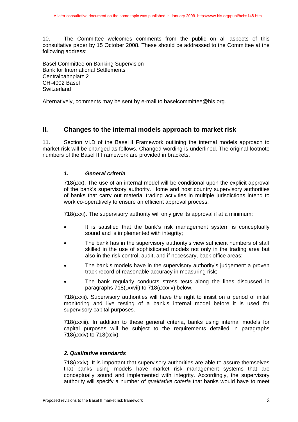<span id="page-6-0"></span>10. The Committee welcomes comments from the public on all aspects of this consultative paper by 15 October 2008. These should be addressed to the Committee at the following address:

Basel Committee on Banking Supervision Bank for International Settlements Centralbahnplatz 2 CH-4002 Basel **Switzerland** 

Alternatively, comments may be sent by e-mail to [baselcommittee@bis.org.](mailto:baselcommittee@bis.org)

# **II. Changes to the internal models approach to market risk**

11. Section VI.D of the Basel II Framework outlining the internal models approach to market risk will be changed as follows. Changed wording is underlined. The original footnote numbers of the Basel II Framework are provided in brackets.

# *1. General criteria*

718(Lxx). The use of an internal model will be conditional upon the explicit approval of the bank's supervisory authority. Home and host country supervisory authorities of banks that carry out material trading activities in multiple jurisdictions intend to work co-operatively to ensure an efficient approval process.

718(Lxxi). The supervisory authority will only give its approval if at a minimum:

- It is satisfied that the bank's risk management system is conceptually sound and is implemented with integrity;
- The bank has in the supervisory authority's view sufficient numbers of staff skilled in the use of sophisticated models not only in the trading area but also in the risk control, audit, and if necessary, back office areas;
- The bank's models have in the supervisory authority's judgement a proven track record of reasonable accuracy in measuring risk;
- The bank regularly conducts stress tests along the lines discussed in paragraphs 718(Lxxvii) to 718(Lxxxiv) below.

718(Lxxii). Supervisory authorities will have the right to insist on a period of initial monitoring and live testing of a bank's internal model before it is used for supervisory capital purposes.

718(Lxxiii). In addition to these general criteria, banks using internal models for capital purposes will be subject to the requirements detailed in paragraphs 718(Lxxiv) to 718(xcix).

#### *2. Qualitative standards*

718(Lxxiv). It is important that supervisory authorities are able to assure themselves that banks using models have market risk management systems that are conceptually sound and implemented with integrity. Accordingly, the supervisory authority will specify a number of *qualitative criteria* that banks would have to meet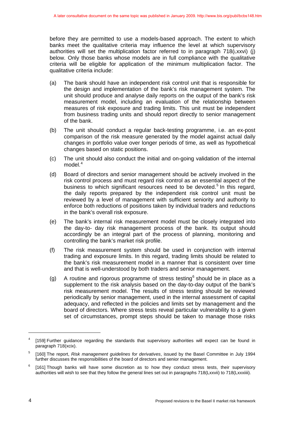before they are permitted to use a models-based approach. The extent to which banks meet the qualitative criteria may influence the level at which supervisory authorities will set the multiplication factor referred to in paragraph 718(Lxxvi) (j) below. Only those banks whose models are in full compliance with the qualitative criteria will be eligible for application of the minimum multiplication factor. The qualitative criteria include:

- (a) The bank should have an independent risk control unit that is responsible for the design and implementation of the bank's risk management system. The unit should produce and analyse daily reports on the output of the bank's risk measurement model, including an evaluation of the relationship between measures of risk exposure and trading limits. This unit must be independent from business trading units and should report directly to senior management of the bank.
- (b) The unit should conduct a regular back-testing programme, i.e. an ex-post comparison of the risk measure generated by the model against actual daily changes in portfolio value over longer periods of time, as well as hypothetical changes based on static positions.
- (c) The unit should also conduct the initial and on-going validation of the internal model.<sup>[4](#page-7-0)</sup>
- (d) Board of directors and senior management should be actively involved in the risk control process and must regard risk control as an essential aspect of the business to which significant resources need to be devoted.<sup>[5](#page-7-1)</sup> In this regard, the daily reports prepared by the independent risk control unit must be reviewed by a level of management with sufficient seniority and authority to enforce both reductions of positions taken by individual traders and reductions in the bank's overall risk exposure.
- (e) The bank's internal risk measurement model must be closely integrated into the day-to- day risk management process of the bank. Its output should accordingly be an integral part of the process of planning, monitoring and controlling the bank's market risk profile.
- (f) The risk measurement system should be used in conjunction with internal trading and exposure limits. In this regard, trading limits should be related to the bank's risk measurement model in a manner that is consistent over time and that is well-understood by both traders and senior management.
- (g) A routine and rigorous programme of stress testing  $6$  should be in place as a supplement to the risk analysis based on the day-to-day output of the bank's risk measurement model. The results of stress testing should be reviewed periodically by senior management, used in the internal assessment of capital adequacy, and reflected in the policies and limits set by management and the board of directors. Where stress tests reveal particular vulnerability to a given set of circumstances, prompt steps should be taken to manage those risks

<span id="page-7-0"></span><sup>4</sup> [159] Further guidance regarding the standards that supervisory authorities will expect can be found in paragraph 718(xcix).

<span id="page-7-1"></span><sup>5</sup> [160] The report, *Risk management guidelines for derivatives*, issued by the Basel Committee in July 1994 further discusses the responsibilities of the board of directors and senior management.

<span id="page-7-2"></span><sup>6</sup> [161] Though banks will have some discretion as to how they conduct stress tests, their supervisory authorities will wish to see that they follow the general lines set out in paragraphs 718(Lxxvii) to 718(Lxxxiiii).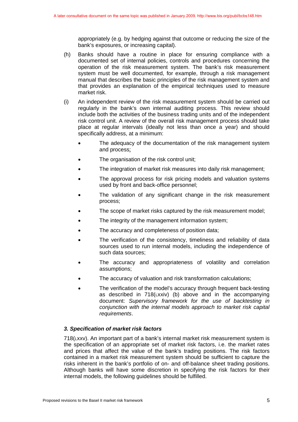appropriately (e.g. by hedging against that outcome or reducing the size of the bank's exposures, or increasing capital).

- (h) Banks should have a routine in place for ensuring compliance with a documented set of internal policies, controls and procedures concerning the operation of the risk measurement system. The bank's risk measurement system must be well documented, for example, through a risk management manual that describes the basic principles of the risk management system and that provides an explanation of the empirical techniques used to measure market risk.
- (i) An independent review of the risk measurement system should be carried out regularly in the bank's own internal auditing process. This review should include both the activities of the business trading units and of the independent risk control unit. A review of the overall risk management process should take place at regular intervals (ideally not less than once a year) and should specifically address, at a minimum:
	- The adequacy of the documentation of the risk management system and process;
	- The organisation of the risk control unit;
	- The integration of market risk measures into daily risk management;
	- The approval process for risk pricing models and valuation systems used by front and back-office personnel;
	- The validation of any significant change in the risk measurement process;
	- The scope of market risks captured by the risk measurement model;
	- The integrity of the management information system;
	- The accuracy and completeness of position data;
	- The verification of the consistency, timeliness and reliability of data sources used to run internal models, including the independence of such data sources;
	- The accuracy and appropriateness of volatility and correlation assumptions;
	- The accuracy of valuation and risk transformation calculations;
	- The verification of the model's accuracy through frequent back-testing as described in 718(Lxxiv) (b) above and in the accompanying document: *Supervisory framework for the use of backtesting in conjunction with the internal models approach to market risk capital requirements*.

# *3. Specification of market risk factors*

718(Lxxv). An important part of a bank's internal market risk measurement system is the specification of an appropriate set of market risk factors, i.e. the market rates and prices that affect the value of the bank's trading positions. The risk factors contained in a market risk measurement system should be sufficient to capture the risks inherent in the bank's portfolio of on- and off-balance sheet trading positions. Although banks will have some discretion in specifying the risk factors for their internal models, the following guidelines should be fulfilled.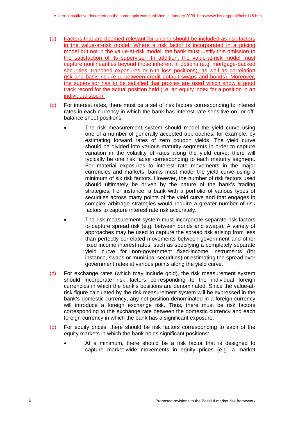- (a) Factors that are deemed relevant for pricing should be included as risk factors in the value-at-risk model. Where a risk factor is incorporated in a pricing model but not in the value-at-risk model, the bank must justify this omission to the satisfaction of its supervisor. In addition, the value-at-risk model must capture nonlinearities beyond those inherent in options (e.g. mortgage-backed securities, tranched exposures or n-th loss positions), as well as correlation risk and basis risk (e.g. between credit default swaps and bonds). Moreover, the supervisor has to be satisfied that proxies are used which show a good track record for the actual position held (i.e. an equity index for a position in an individual stock).
- (b) For interest rates, there must be a set of risk factors corresponding to interest rates in each currency in which the bank has interest-rate-sensitive on- or offbalance sheet positions.
	- The risk measurement system should model the yield curve using one of a number of generally accepted approaches, for example, by estimating forward rates of zero coupon yields. The yield curve should be divided into various maturity segments in order to capture variation in the volatility of rates along the yield curve; there will typically be one risk factor corresponding to each maturity segment. For material exposures to interest rate movements in the major currencies and markets, banks must model the yield curve using a minimum of six risk factors*.* However, the number of risk factors used should ultimately be driven by the nature of the bank's trading strategies. For instance, a bank with a portfolio of various types of securities across many points of the yield curve and that engages in complex arbitrage strategies would require a greater number of risk factors to capture interest rate risk accurately.
	- The risk measurement system must incorporate separate risk factors to capture spread risk (e.g. between bonds and swaps)*.* A variety of approaches may be used to capture the spread risk arising from less than perfectly correlated movements between government and other fixed income interest rates, such as specifying a completely separate yield curve for non-government fixed-income instruments (for instance, swaps or municipal securities) or estimating the spread over government rates at various points along the yield curve.
- (c) For exchange rates (which may include gold), the risk measurement system should incorporate risk factors corresponding to the individual foreign currencies in which the bank's positions are denominated. Since the value-atrisk figure calculated by the risk measurement system will be expressed in the bank's domestic currency, any net position denominated in a foreign currency will introduce a foreign exchange risk. Thus, there must be risk factors corresponding to the exchange rate between the domestic currency and each foreign currency in which the bank has a significant exposure.
- (d) For equity prices, there should be risk factors corresponding to each of the equity markets in which the bank holds significant positions:
	- At a minimum, there should be a risk factor that is designed to capture market-wide movements in equity prices (e.g. a market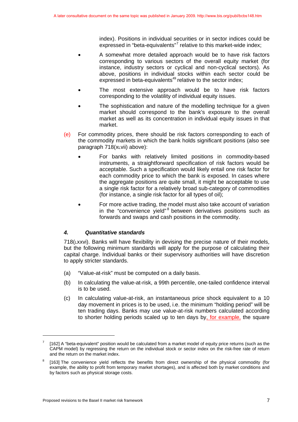index). Positions in individual securities or in sector indices could be expressed in "beta-equivalents"<sup>[7](#page-10-0)</sup> relative to this market-wide index;

- A somewhat more detailed approach would be to have risk factors corresponding to various sectors of the overall equity market (for instance, industry sectors or cyclical and non-cyclical sectors). As above, positions in individual stocks within each sector could be expressed in beta-equivalents<sup>49</sup> relative to the sector index;
- The most extensive approach would be to have risk factors corresponding to the volatility of individual equity issues.
- The sophistication and nature of the modelling technique for a given market should correspond to the bank's exposure to the overall market as well as its concentration in individual equity issues in that market.
- (e) For commodity prices, there should be risk factors corresponding to each of the commodity markets in which the bank holds significant positions (also see paragraph 718(xLvii) above):
	- For banks with relatively limited positions in commodity-based instruments, a straightforward specification of risk factors would be acceptable. Such a specification would likely entail one risk factor for each commodity price to which the bank is exposed. In cases where the aggregate positions are quite small, it might be acceptable to use a single risk factor for a relatively broad sub-category of commodities (for instance, a single risk factor for all types of oil);
	- For more active trading, the model must also take account of variation in the "convenience yield"<sup>[8](#page-10-1)</sup> between derivatives positions such as forwards and swaps and cash positions in the commodity.

# *4. Quantitative standards*

718(Lxxvi). Banks will have flexibility in devising the precise nature of their models, but the following minimum standards will apply for the purpose of calculating their capital charge. Individual banks or their supervisory authorities will have discretion to apply stricter standards.

- (a) "Value-at-risk" must be computed on a daily basis.
- (b) In calculating the value-at-risk, a 99th percentile, one-tailed confidence interval is to be used.
- (c) In calculating value-at-risk, an instantaneous price shock equivalent to a 10 day movement in prices is to be used, i.e. the minimum "holding period" will be ten trading days. Banks may use value-at-risk numbers calculated according to shorter holding periods scaled up to ten days by, for example, the square

<span id="page-10-0"></span><sup>7</sup> [162] A "beta-equivalent" position would be calculated from a market model of equity price returns (such as the CAPM model) by regressing the return on the individual stock or sector index on the risk-free rate of return and the return on the market index.

<span id="page-10-1"></span><sup>8</sup> [163] The convenience yield reflects the benefits from direct ownership of the physical commodity (for example, the ability to profit from temporary market shortages), and is affected both by market conditions and by factors such as physical storage costs.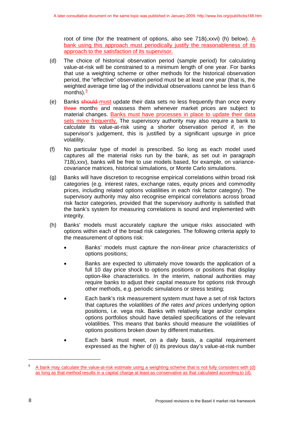root of time (for the treatment of options, also see 718(Lxxvi) (h) below). A bank using this approach must periodically justify the reasonableness of its approach to the satisfaction of its supervisor.

- (d) The choice of historical observation period (sample period) for calculating value-at-risk will be constrained to a minimum length of one year. For banks that use a weighting scheme or other methods for the historical observation period, the "effective" observation period must be at least one year (that is, the weighted average time lag of the individual observations cannot be less than 6 months). $\frac{9}{2}$  $\frac{9}{2}$  $\frac{9}{2}$
- (e) Banks should-must update their data sets no less frequently than once every three months and reassess them whenever market prices are subject to material changes. Banks must have processes in place to update their data sets more frequently. The supervisory authority may also require a bank to calculate its value-at-risk using a shorter observation period if, in the supervisor's judgement, this is justified by a significant upsurge in price volatility.
- (f) No particular type of model is prescribed. So long as each model used captures all the material risks run by the bank, as set out in paragraph 718(Lxxv), banks will be free to use models based, for example, on variancecovariance matrices, historical simulations, or Monte Carlo simulations.
- (g) Banks will have discretion to recognise empirical correlations within broad risk categories (e.g. interest rates, exchange rates, equity prices and commodity prices, including related options volatilities in each risk factor category). The supervisory authority may also recognise empirical correlations across broad risk factor categories, provided that the supervisory authority is satisfied that the bank's system for measuring correlations is sound and implemented with integrity.
- (h) Banks' models must accurately capture the unique risks associated with options within each of the broad risk categories. The following criteria apply to the measurement of options risk:
	- Banks' models must capture the *non-linear price characteristics* of options positions;
	- Banks are expected to ultimately move towards the application of a full 10 day price shock to options positions or positions that display option-like characteristics. In the interim, national authorities may require banks to adjust their capital measure for options risk through other methods, e.g. periodic simulations or stress testing;
	- Each bank's risk measurement system must have a set of risk factors that captures the *volatilities of the rates and prices* underlying option positions, i.e. vega risk. Banks with relatively large and/or complex options portfolios should have detailed specifications of the relevant volatilities. This means that banks should measure the volatilities of options positions broken down by different maturities.
	- Each bank must meet, on a daily basis, a capital requirement expressed as the higher of (i) its previous day's value-at-risk number

 $\overline{a}$ 

<span id="page-11-0"></span><sup>9</sup> A bank may calculate the value-at-risk estimate using a weighting scheme that is not fully consistent with (d) as long as that method results in a capital charge at least as conservative as that calculated according to (d).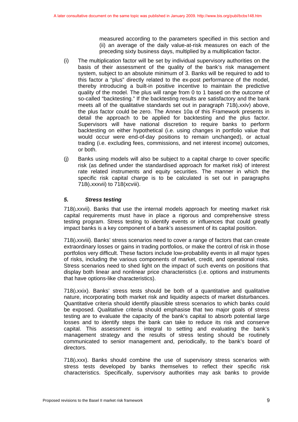measured according to the parameters specified in this section and (ii) an average of the daily value-at-risk measures on each of the preceding sixty business days, multiplied by a multiplication factor.

- (i) The multiplication factor will be set by individual supervisory authorities on the basis of their assessment of the quality of the bank's risk management system, subject to an absolute minimum of 3. Banks will be required to add to this factor a "plus" directly related to the ex-post performance of the model, thereby introducing a built-in positive incentive to maintain the predictive quality of the model. The plus will range from 0 to 1 based on the outcome of so-called "backtesting." If the backtesting results are satisfactory and the bank meets all of the qualitative standards set out in paragraph 718(Lxxiv) above, the plus factor could be zero. The Annex 10a of this Framework presents in detail the approach to be applied for backtesting and the plus factor. Supervisors will have national discretion to require banks to perform backtesting on either hypothetical (i.e. using changes in portfolio value that would occur were end-of-day positions to remain unchanged), or actual trading (i.e. excluding fees, commissions, and net interest income) outcomes, or both.
- (j) Banks using models will also be subject to a capital charge to cover specific risk (as defined under the standardised approach for market risk) of interest rate related instruments and equity securities. The manner in which the specific risk capital charge is to be calculated is set out in paragraphs 718(Lxxxvii) to 718(xcviii).

# *5. Stress testing*

718(Lxxvii). Banks that use the internal models approach for meeting market risk capital requirements must have in place a rigorous and comprehensive stress testing program. Stress testing to identify events or influences that could greatly impact banks is a key component of a bank's assessment of its capital position.

718(Lxxviii). Banks' stress scenarios need to cover a range of factors that can create extraordinary losses or gains in trading portfolios, or make the control of risk in those portfolios very difficult. These factors include low-probability events in all major types of risks, including the various components of market, credit, and operational risks. Stress scenarios need to shed light on the impact of such events on positions that display both linear and nonlinear price characteristics (i.e. options and instruments that have options-like characteristics).

718(Lxxix). Banks' stress tests should be both of a quantitative and qualitative nature, incorporating both market risk and liquidity aspects of market disturbances. Quantitative criteria should identify plausible stress scenarios to which banks could be exposed. Qualitative criteria should emphasise that two major goals of stress testing are to evaluate the capacity of the bank's capital to absorb potential large losses and to identify steps the bank can take to reduce its risk and conserve capital. This assessment is integral to setting and evaluating the bank's management strategy and the results of stress testing should be routinely communicated to senior management and, periodically, to the bank's board of directors.

718(Lxxx). Banks should combine the use of supervisory stress scenarios with stress tests developed by banks themselves to reflect their specific risk characteristics. Specifically, supervisory authorities may ask banks to provide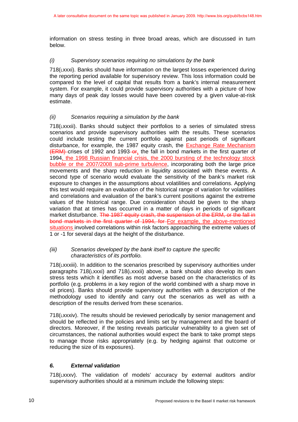information on stress testing in three broad areas, which are discussed in turn below.

# *(i) Supervisory scenarios requiring no simulations by the bank*

718(Lxxxi). Banks should have information on the largest losses experienced during the reporting period available for supervisory review. This loss information could be compared to the level of capital that results from a bank's internal measurement system. For example, it could provide supervisory authorities with a picture of how many days of peak day losses would have been covered by a given value-at-risk estimate.

# *(ii) Scenarios requiring a simulation by the bank*

718(Lxxxii). Banks should subject their portfolios to a series of simulated stress scenarios and provide supervisory authorities with the results. These scenarios could include testing the current portfolio against past periods of significant disturbance, for example, the 1987 equity crash, the Exchange Rate Mechanism (ERM) crises of 1992 and 1993 of, the fall in bond markets in the first quarter of 1994, the 1998 Russian financial crisis, the 2000 bursting of the technology stock bubble or the 2007/2008 sub-prime turbulence, incorporating both the large price movements and the sharp reduction in liquidity associated with these events. A second type of scenario would evaluate the sensitivity of the bank's market risk exposure to changes in the assumptions about volatilities and correlations. Applying this test would require an evaluation of the historical range of variation for volatilities and correlations and evaluation of the bank's current positions against the extreme values of the historical range. Due consideration should be given to the sharp variation that at times has occurred in a matter of days in periods of significant market disturbance. The 1987 equity crash, the suspension of the ERM, or the fall in bond markets in the first quarter of 1994, for For example, the above-mentioned situations involved correlations within risk factors approaching the extreme values of 1 or -1 for several days at the height of the disturbance.

#### *(iii) Scenarios developed by the bank itself to capture the specific characteristics of its portfolio.*

718(Lxxxiii). In addition to the scenarios prescribed by supervisory authorities under paragraphs 718(Lxxxi) and 718(Lxxxii) above, a bank should also develop its own stress tests which it identifies as most adverse based on the characteristics of its portfolio (e.g. problems in a key region of the world combined with a sharp move in oil prices). Banks should provide supervisory authorities with a description of the methodology used to identify and carry out the scenarios as well as with a description of the results derived from these scenarios.

718(Lxxxiv). The results should be reviewed periodically by senior management and should be reflected in the policies and limits set by management and the board of directors. Moreover, if the testing reveals particular vulnerability to a given set of circumstances, the national authorities would expect the bank to take prompt steps to manage those risks appropriately (e.g. by hedging against that outcome or reducing the size of its exposures).

# *6. External validation*

718(Lxxxv). The validation of models' accuracy by external auditors and/or supervisory authorities should at a minimum include the following steps: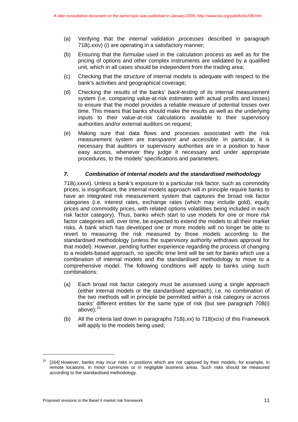- (a) Verifying that the *internal validation processes* described in paragraph 718(Lxxiv) (i) are operating in a satisfactory manner;
- (b) Ensuring that the *formulae* used in the calculation process as well as for the pricing of options and other complex instruments are validated by a qualified unit, which in all cases should be independent from the trading area;
- (c) Checking that the *structure* of internal models is adequate with respect to the bank's activities and geographical coverage;
- (d) Checking the results of the banks' *back-testing* of its internal measurement system (i.e. comparing value-at-risk estimates with actual profits and losses) to ensure that the model provides a reliable measure of potential losses over time. This means that banks should make the results as well as the underlying inputs to their value-at-risk calculations available to their supervisory authorities and/or external auditors on request;
- (e) Making sure that data flows and processes associated with the risk measurement system are *transparent and accessible*. In particular, it is necessary that auditors or supervisory authorities are in a position to have easy access, whenever they judge it necessary and under appropriate procedures, to the models' specifications and parameters.

# *7. Combination of internal models and the standardised methodology*

718(Lxxxvi). Unless a bank's exposure to a particular risk factor, such as commodity prices, is insignificant, the internal models approach will in principle require banks to have an integrated risk measurement system that captures the broad risk factor categories (i.e. interest rates, exchange rates (which may include gold), equity prices and commodity prices, with related options volatilities being included in each risk factor category). Thus, banks which start to use models for one or more risk factor categories will, over time, be expected to extend the models to all their market risks. A bank which has developed one or more models will no longer be able to revert to measuring the risk measured by those models according to the standardised methodology (unless the supervisory authority withdraws approval for that model). However, pending further experience regarding the process of changing to a models-based approach, no specific time limit will be set for banks which use a combination of internal models and the standardised methodology to move to a comprehensive model. The following conditions will apply to banks using such combinations:

- (a) Each broad risk factor category must be assessed using a single approach (either internal models or the standardised approach), i.e. no combination of the two methods will in principle be permitted within a risk category or across banks' different entities for the same type of risk (but see paragraph 708(i) above); $10$  $10$
- (b) All the criteria laid down in paragraphs  $718$ (Lxx) to  $718$ (xcix) of this Framework will apply to the models being used;

<span id="page-14-0"></span><sup>[164]</sup> However, banks may incur risks in positions which are not captured by their models, for example, in remote locations, in minor currencies or in negligible business areas. Such risks should be measured according to the standardised methodology.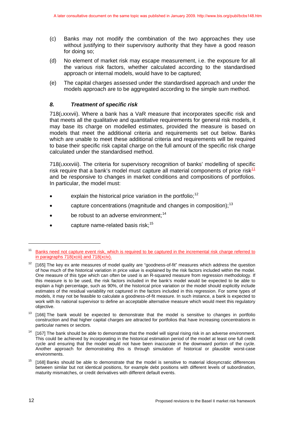- (c) Banks may not modify the combination of the two approaches they use without justifying to their supervisory authority that they have a good reason for doing so;
- (d) No element of market risk may escape measurement, i.e. the exposure for all the various risk factors, whether calculated according to the standardised approach or internal models, would have to be captured;
- (e) The capital charges assessed under the standardised approach and under the models approach are to be aggregated according to the simple sum method.

# *8. Treatment of specific risk*

718(Lxxxvii). Where a bank has a VaR measure that incorporates specific risk and that meets all the qualitative and quantitative requirements for general risk models, it may base its charge on modelled estimates, provided the measure is based on models that meet the additional criteria and requirements set out below. Banks which are unable to meet these additional criteria and requirements will be required to base their specific risk capital charge on the full amount of the specific risk charge calculated under the standardised method.

718(Lxxxviii). The criteria for supervisory recognition of banks' modelling of specific risk require that a bank's model must capture all material components of price risk $^{11}$  $^{11}$  $^{11}$ and be responsive to changes in market conditions and compositions of portfolios. In particular, the model must:

- explain the historical price variation in the portfolio;<sup>[12](#page-15-1)</sup>
- capture concentrations (magnitude and changes in composition);<sup>[13](#page-15-2)</sup>
- be robust to an adverse environment:<sup>[1](#page-15-3)4</sup>
- capture name-related basis risk: $15$

<span id="page-15-0"></span><sup>11</sup> Banks need not capture event risk, which is required to be captured in the incremental risk charge referred to in paragraphs 718(xciii) and 718(xciv).

<span id="page-15-1"></span><sup>12 [165]</sup> The key ex ante measures of model quality are "goodness-of-fit" measures which address the question of how much of the historical variation in price value is explained by the risk factors included within the model. One measure of this type which can often be used is an R-squared measure from regression methodology. If this measure is to be used, the risk factors included in the bank's model would be expected to be able to explain a high percentage, such as 90%, of the historical price variation or the model should explicitly include estimates of the residual variability not captured in the factors included in this regression. For some types of models, it may not be feasible to calculate a goodness-of-fit measure. In such instance, a bank is expected to work with its national supervisor to define an acceptable alternative measure which would meet this regulatory objective.

<span id="page-15-2"></span> $13$  [166] The bank would be expected to demonstrate that the model is sensitive to changes in portfolio construction and that higher capital charges are attracted for portfolios that have increasing concentrations in particular names or sectors.

<span id="page-15-3"></span><sup>&</sup>lt;sup>14</sup> [167] The bank should be able to demonstrate that the model will signal rising risk in an adverse environment. This could be achieved by incorporating in the historical estimation period of the model at least one full credit cycle and ensuring that the model would not have been inaccurate in the downward portion of the cycle. Another approach for demonstrating this is through simulation of historical or plausible worst-case environments.

<span id="page-15-4"></span><sup>&</sup>lt;sup>15</sup> [168] Banks should be able to demonstrate that the model is sensitive to material idiosyncratic differences between similar but not identical positions, for example debt positions with different levels of subordination, maturity mismatches, or credit derivatives with different default events.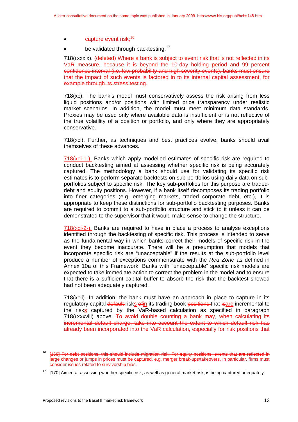-capture event risk; $^{46}$ 

be validated through backtesting.<sup>[17](#page-16-1)</sup>

718(Lxxxix). (deleted) Where a bank is subject to event risk that is not reflected in its VaR measure, because it is beyond the 10-day holding period and 99 percent confidence interval (i.e. low probability and high severity events), banks must ensure that the impact of such events is factored in to its internal capital assessment, for example through its stress testing.

718(xc). The bank's model must conservatively assess the risk arising from less liquid positions and/or positions with limited price transparency under realistic market scenarios. In addition, the model must meet minimum data standards. Proxies may be used only where available data is insufficient or is not reflective of the true volatility of a position or portfolio, and only where they are appropriately conservative.

718(xci). Further, as techniques and best practices evolve, banks should avail themselves of these advances.

718(XCi-1-). Banks which apply modelled estimates of specific risk are required to conduct backtesting aimed at assessing whether specific risk is being accurately captured. The methodology a bank should use for validating its specific risk estimates is to perform separate backtests on sub-portfolios using daily data on subportfolios subject to specific risk. The key sub-portfolios for this purpose are tradeddebt and equity positions. However, if a bank itself decomposes its trading portfolio into finer categories (e.g. emerging markets, traded corporate debt, etc.), it is appropriate to keep these distinctions for sub-portfolio backtesting purposes. Banks are required to commit to a sub-portfolio structure and stick to it unless it can be demonstrated to the supervisor that it would make sense to change the structure.

 $718(xci-2)$ . Banks are required to have in place a process to analyse exceptions identified through the backtesting of specific risk. This process is intended to serve as the fundamental way in which banks correct their models of specific risk in the event they become inaccurate. There will be a presumption that models that incorporate specific risk are "unacceptable" if the results at the sub-portfolio level produce a number of exceptions commensurate with the *Red Zone* as defined in Annex 10a of this Framework. Banks with "unacceptable" specific risk models are expected to take immediate action to correct the problem in the model and to ensure that there is a sufficient capital buffer to absorb the risk that the backtest showed had not been adequately captured.

 $718(xcii)$ . In addition, the bank must have an approach in place to capture in its regulatory capital default risks of in its trading book positions that is are incremental to the risks captured by the VaR-based calculation as specified in paragraph  $718$ (Lxxxviii) above. To avoid double counting a bank may, when calculating its incremental default charge, take into account the extent to which default risk has already been incorporated into the VaR calculation, especially for risk positions that

<span id="page-16-0"></span><sup>&</sup>lt;sup>16</sup> [169] For debt positions, this should include migration risk. For equity positions, events that are reflected in large changes or jumps in prices must be captured, e.g. merger break-ups/takeovers. In particular, firms must consider is determined to survivorship bias.

<span id="page-16-1"></span> $17$  [170] Aimed at assessing whether specific risk, as well as general market risk, is being captured adequately.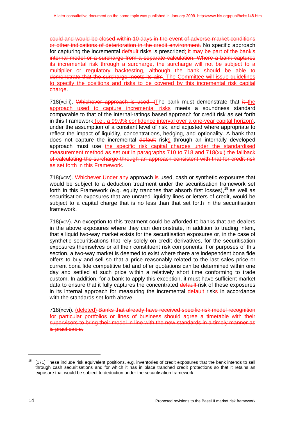could and would be closed within 10 days in the event of adverse market conditions or other indications of deterioration in the credit environment. No specific approach for capturing the incremental default-risks is prescribed; it may be part of the bank's internal model or a surcharge from a separate calculation. Where a bank captures its incremental risk through a surcharge, the surcharge will not be subject to a multiplier or regulatory backtesting, although the bank should be able to demonstrate that the surcharge meets its aim. The Committee will issue quidelines to specify the positions and risks to be covered by this incremental risk capital charge.

718( $x$ ciii). Whichever approach is used,  $t$ The bank must demonstrate that  $t$ -the approach used to capture incremental risks meets a soundness standard comparable to that of the internal-ratings based approach for credit risk as set forth in this Framework (i.e., a 99.9% confidence interval over a one-year capital horizon), under the assumption of a constant level of risk, and adjusted where appropriate to reflect the impact of liquidity, concentrations, hedging, and optionality. A bank that does not capture the incremental default risks through an internally developed approach must use the specific risk capital charges under the standardised measurement method as set out in paragraphs 710 to 718 and 718(xxi) the fallback of calculating the surcharge through an approach consistent with that for credit risk as set forth in this Framework.

718(xciv). Whichever Under any approach is used, cash or synthetic exposures that would be subject to a deduction treatment under the securitisation framework set forth in this Framework (e.g. equity tranches that absorb first losses).<sup>[1](#page-17-0)8</sup> as well as securitisation exposures that are unrated liquidity lines or letters of credit, would be subject to a capital charge that is no less than that set forth in the securitisation framework.

 $718(xcv)$ . An exception to this treatment could be afforded to banks that are dealers in the above exposures where they can demonstrate, in addition to trading intent, that a liquid two-way market exists for the securitisation exposures or, in the case of synthetic securitisations that rely solely on credit derivatives, for the securitisation exposures themselves or all their constituent risk components. For purposes of this section, a two-way market is deemed to exist where there are independent bona fide offers to buy and sell so that a price reasonably related to the last sales price or current bona fide competitive bid and offer quotations can be determined within one day and settled at such price within a relatively short time conforming to trade custom. In addition, for a bank to apply this exception, it must have sufficient market data to ensure that it fully captures the concentrated default-risk of these exposures in its internal approach for measuring the incremental default-risks in accordance with the standards set forth above.

718(XCvi). (deleted) Banks that already have received specific risk model recognition for particular portfolios or lines of business should agree a timetable with their supervisors to bring their model in line with the new standards in a timely manner as is practicable.

<span id="page-17-0"></span><sup>&</sup>lt;sup>18</sup> [171] These include risk equivalent positions, e.g. inventories of credit exposures that the bank intends to sell through cash securitisations and for which it has in place tranched credit protections so that it retains an exposure that would be subject to deduction under the securitisation framework.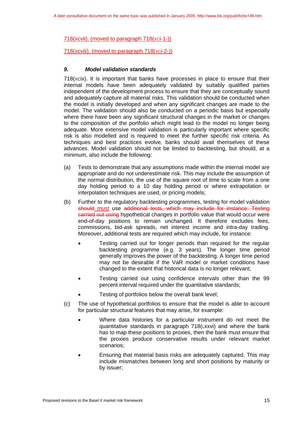718(xcvii). (moved to paragraph  $718(xci-1-)$ )

718(xcviii). (moved to paragraph  $718(xci-2-)$ )

#### *9. Model validation standards*

 $718(xcix)$ . It is important that banks have processes in place to ensure that their internal models have been adequately validated by suitably qualified parties independent of the development process to ensure that they are conceptually sound and adequately capture all material risks. This validation should be conducted when the model is initially developed and when any significant changes are made to the model. The validation should also be conducted on a periodic basis but especially where there have been any significant structural changes in the market or changes to the composition of the portfolio which might lead to the model no longer being adequate. More extensive model validation is particularly important where specific risk is also modelled and is required to meet the further specific risk criteria. As techniques and best practices evolve, banks should avail themselves of these advances. Model validation should not be limited to backtesting, but should, at a minimum, also include the following:

- (a) Tests to demonstrate that any assumptions made within the internal model are appropriate and do not underestimate risk. This may include the assumption of the normal distribution, the use of the square root of time to scale from a one day holding period to a 10 day holding period or where extrapolation or interpolation techniques are used, or pricing models;
- (b) Further to the regulatory backtesting programmes, testing for model validation should must use additional tests, which may include for instance: Testing carried out using hypothetical changes in portfolio value that would occur were end-of-day positions to remain unchanged. It therefore excludes fees, commissions, bid-ask spreads, net interest income and intra-day trading. Moreover, additional tests are required which may include, for instance:
	- Testing carried out for longer periods than required for the regular backtesting programme (e.g. 3 years). The longer time period generally improves the power of the backtesting. A longer time period may not be desirable if the VaR model or market conditions have changed to the extent that historical data is no longer relevant;
	- Testing carried out using confidence intervals other than the 99 percent interval required under the quantitative standards;
	- Testing of portfolios below the overall bank level;
- (c) The use of hypothetical portfolios to ensure that the model is able to account for particular structural features that may arise, for example:
	- Where data histories for a particular instrument do not meet the quantitative standards in paragraph 718(Lxxvi) and where the bank has to map these positions to proxies, then the bank must ensure that the proxies produce conservative results under relevant market scenarios;
	- Ensuring that material basis risks are adequately captured. This may include mismatches between long and short positions by maturity or by issuer;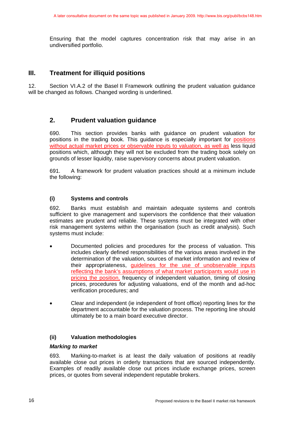<span id="page-19-0"></span>Ensuring that the model captures concentration risk that may arise in an undiversified portfolio.

# **III. Treatment for illiquid positions**

12. Section VI.A.2 of the Basel II Framework outlining the prudent valuation guidance will be changed as follows. Changed wording is underlined.

# **2. Prudent valuation guidance**

690. This section provides banks with guidance on prudent valuation for positions in the trading book. This guidance is especially important for positions without actual market prices or observable inputs to valuation, as well as less liquid positions which, although they will not be excluded from the trading book solely on grounds of lesser liquidity, raise supervisory concerns about prudent valuation.

691. A framework for prudent valuation practices should at a minimum include the following:

#### **(i) Systems and controls**

692. Banks must establish and maintain adequate systems and controls sufficient to give management and supervisors the confidence that their valuation estimates are prudent and reliable. These systems must be integrated with other risk management systems within the organisation (such as credit analysis). Such systems must include:

- Documented policies and procedures for the process of valuation. This includes clearly defined responsibilities of the various areas involved in the determination of the valuation, sources of market information and review of their appropriateness, guidelines for the use of unobservable inputs reflecting the bank's assumptions of what market participants would use in pricing the position, frequency of independent valuation, timing of closing prices, procedures for adjusting valuations, end of the month and ad-hoc verification procedures; and
- Clear and independent (ie independent of front office) reporting lines for the department accountable for the valuation process. The reporting line should ultimately be to a main board executive director.

# **(ii) Valuation methodologies**

#### *Marking to market*

693. Marking-to-market is at least the daily valuation of positions at readily available close out prices in orderly transactions that are sourced independently. Examples of readily available close out prices include exchange prices, screen prices, or quotes from several independent reputable brokers.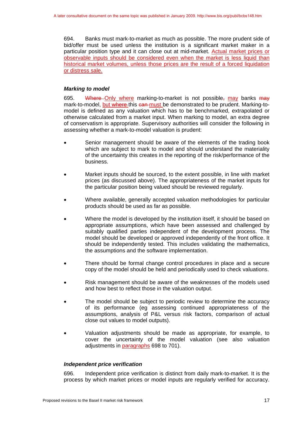694. Banks must mark-to-market as much as possible. The more prudent side of bid/offer must be used unless the institution is a significant market maker in a particular position type and it can close out at mid-market. Actual market prices or observable inputs should be considered even when the market is less liquid than historical market volumes, unless those prices are the result of a forced liquidation or distress sale.

# *Marking to model*

695. Where Only where marking-to-market is not possible, may banks  $\frac{1}{2}$ mark-to-model, but where this can must be demonstrated to be prudent. Marking-tomodel is defined as any valuation which has to be benchmarked, extrapolated or otherwise calculated from a market input. When marking to model, an extra degree of conservatism is appropriate. Supervisory authorities will consider the following in assessing whether a mark-to-model valuation is prudent:

- Senior management should be aware of the elements of the trading book which are subject to mark to model and should understand the materiality of the uncertainty this creates in the reporting of the risk/performance of the business.
- Market inputs should be sourced, to the extent possible, in line with market prices (as discussed above). The appropriateness of the market inputs for the particular position being valued should be reviewed regularly.
- Where available, generally accepted valuation methodologies for particular products should be used as far as possible.
- Where the model is developed by the institution itself, it should be based on appropriate assumptions, which have been assessed and challenged by suitably qualified parties independent of the development process. The model should be developed or approved independently of the front office. It should be independently tested. This includes validating the mathematics, the assumptions and the software implementation.
- There should be formal change control procedures in place and a secure copy of the model should be held and periodically used to check valuations.
- Risk management should be aware of the weaknesses of the models used and how best to reflect those in the valuation output.
- The model should be subject to periodic review to determine the accuracy of its performance (eg assessing continued appropriateness of the assumptions, analysis of P&L versus risk factors, comparison of actual close out values to model outputs).
- Valuation adjustments should be made as appropriate, for example, to cover the uncertainty of the model valuation (see also valuation adjustments in paragraphs 698 to 701).

#### *Independent price verification*

696. Independent price verification is distinct from daily mark-to-market. It is the process by which market prices or model inputs are regularly verified for accuracy.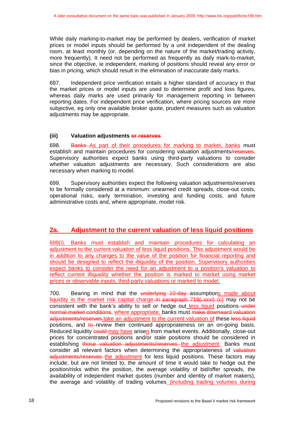While daily marking-to-market may be performed by dealers, verification of market prices or model inputs should be performed by a unit independent of the dealing room, at least monthly (or, depending on the nature of the market/trading activity, more frequently). It need not be performed as frequently as daily mark-to-market, since the objective, ie independent, marking of positions should reveal any error or bias in pricing, which should result in the elimination of inaccurate daily marks.

697. Independent price verification entails a higher standard of accuracy in that the market prices or model inputs are used to determine profit and loss figures, whereas daily marks are used primarily for management reporting in between reporting dates. For independent price verification, where pricing sources are more subjective, eg only one available broker quote, prudent measures such as valuation adjustments may be appropriate.

# **(iii) Valuation adjustments or reserves**

698. Banks As part of their procedures for marking to market, banks must establish and maintain procedures for considering valuation adjustments/reserves. Supervisory authorities expect banks using third-party valuations to consider whether valuation adjustments are necessary. Such considerations are also necessary when marking to model.

699. Supervisory authorities expect the following valuation adjustments/reserves to be formally considered at a minimum: unearned credit spreads, close-out costs, operational risks, early termination, investing and funding costs, and future administrative costs and, where appropriate, model risk.

# **2a. Adjustment to the current valuation of less liquid positions**

699(i). Banks must establish and maintain procedures for calculating an adjustment to the current valuation of less liquid positions. This adjustment would be in addition to any changes to the value of the position for financial reporting and should be designed to reflect the illiquidity of the position. Supervisory authorities expect banks to consider the need for an adjustment to a position's valuation to reflect current illiquidity whether the position is marked to market using market prices or observable inputs, third-party valuations or marked to model.

700. Bearing in mind that the underlying 10-day assumptions made about liquidity in the market risk capital charge in paragraph 718(Lxxvi) (c) may not be consistent with the bank's ability to sell or hedge out less liquid positions under normal market conditions, where appropriate, banks must make downward valuation adjustments/reserves take an adjustment to the current valuation of these-less liquid positions, and to review their continued appropriateness on an on-going basis. Reduced liquidity could may have arisen from market events. Additionally, close-out prices for concentrated positions and/or stale positions should be considered in establishing those valuation adjustments/reserves the adjustment. Banks must consider all relevant factors when determining the appropriateness of valuation adjustments/reserves the adjustment for less liquid positions. These factors may include, but are not limited to, the amount of time it would take to hedge out the position/risks within the position, the average volatility of bid/offer spreads, the availability of independent market quotes (number and identity of market makers), the average and volatility of trading volumes (including trading volumes during